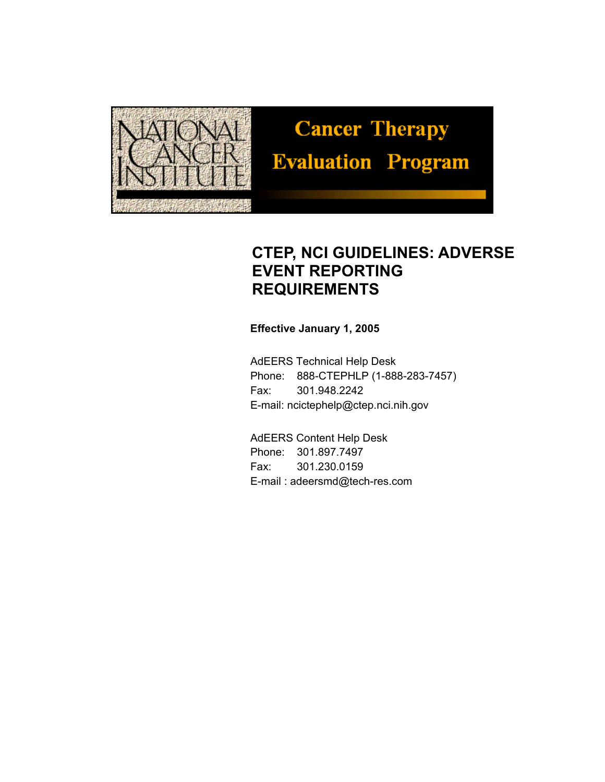

# **Cancer Therapy Evaluation Program**

# **CTEP, NCI GUIDELINES: ADVERSE EVENT REPORTING REQUIREMENTS**

#### **Effective January 1, 2005**

AdEERS Technical Help Desk Phone: 888-CTEPHLP (1-888-283-7457) Fax: 301.948.2242 E-mail: ncictephelp@ctep.nci.nih.gov

AdEERS Content Help Desk Phone: 301.897.7497 Fax: 301.230.0159 E-mail : adeersmd@tech-res.com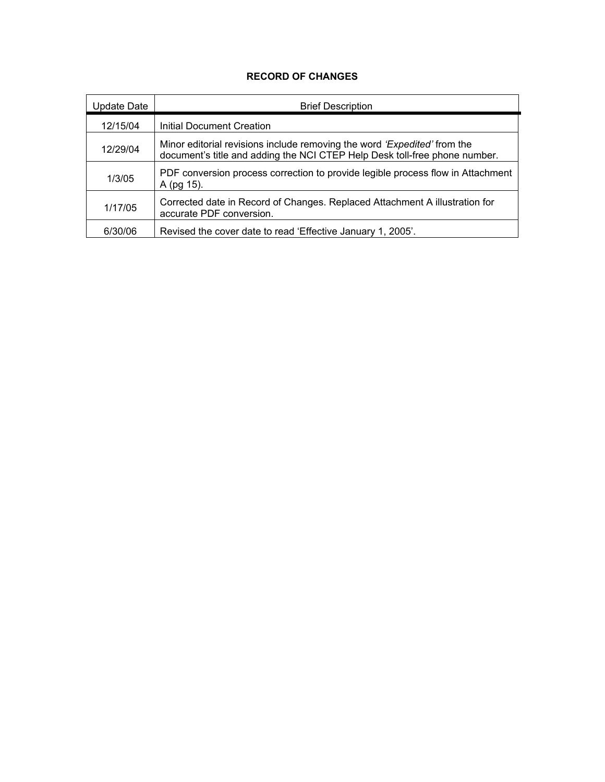#### **RECORD OF CHANGES**

| Update Date | <b>Brief Description</b>                                                                                                                                      |
|-------------|---------------------------------------------------------------------------------------------------------------------------------------------------------------|
| 12/15/04    | <b>Initial Document Creation</b>                                                                                                                              |
| 12/29/04    | Minor editorial revisions include removing the word <i>'Expedited'</i> from the<br>document's title and adding the NCI CTEP Help Desk toll-free phone number. |
| 1/3/05      | PDF conversion process correction to provide legible process flow in Attachment<br>A (pg 15).                                                                 |
| 1/17/05     | Corrected date in Record of Changes. Replaced Attachment A illustration for<br>accurate PDF conversion.                                                       |
| 6/30/06     | Revised the cover date to read 'Effective January 1, 2005'.                                                                                                   |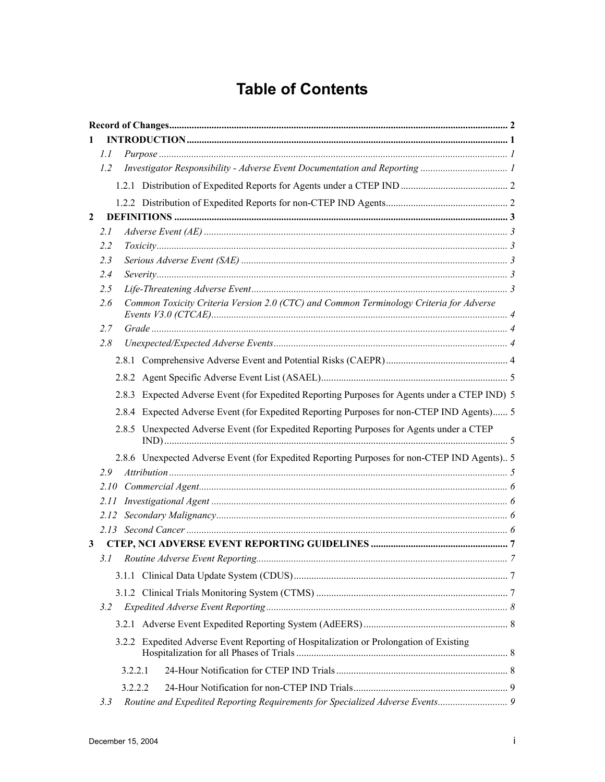# **Table of Contents**

| 1            |      |         |                                                                                               |  |
|--------------|------|---------|-----------------------------------------------------------------------------------------------|--|
|              | 1.1  |         |                                                                                               |  |
|              | 1.2  |         |                                                                                               |  |
|              |      |         |                                                                                               |  |
|              |      |         |                                                                                               |  |
| $\mathbf{2}$ |      |         |                                                                                               |  |
|              | 2.1  |         |                                                                                               |  |
|              | 2.2  |         |                                                                                               |  |
|              | 2.3  |         |                                                                                               |  |
|              | 2.4  |         |                                                                                               |  |
|              | 2.5  |         |                                                                                               |  |
|              | 2.6  |         | Common Toxicity Criteria Version 2.0 (CTC) and Common Terminology Criteria for Adverse        |  |
|              | 2.7  |         |                                                                                               |  |
|              | 2.8  |         |                                                                                               |  |
|              |      |         |                                                                                               |  |
|              |      |         |                                                                                               |  |
|              |      |         | 2.8.3 Expected Adverse Event (for Expedited Reporting Purposes for Agents under a CTEP IND) 5 |  |
|              |      |         | 2.8.4 Expected Adverse Event (for Expedited Reporting Purposes for non-CTEP IND Agents) 5     |  |
|              |      |         | 2.8.5 Unexpected Adverse Event (for Expedited Reporting Purposes for Agents under a CTEP      |  |
|              |      |         | 2.8.6 Unexpected Adverse Event (for Expedited Reporting Purposes for non-CTEP IND Agents) 5   |  |
|              | 2.9  |         |                                                                                               |  |
|              | 2.10 |         |                                                                                               |  |
|              | 2.11 |         |                                                                                               |  |
|              | 2.12 |         |                                                                                               |  |
|              |      |         |                                                                                               |  |
|              |      |         |                                                                                               |  |
|              |      |         |                                                                                               |  |
|              |      |         |                                                                                               |  |
|              |      |         |                                                                                               |  |
|              | 3.2  |         |                                                                                               |  |
|              |      |         |                                                                                               |  |
|              |      |         | 3.2.2 Expedited Adverse Event Reporting of Hospitalization or Prolongation of Existing        |  |
|              |      | 3.2.2.1 |                                                                                               |  |
|              |      | 3.2.2.2 |                                                                                               |  |
|              | 3.3  |         | Routine and Expedited Reporting Requirements for Specialized Adverse Events 9                 |  |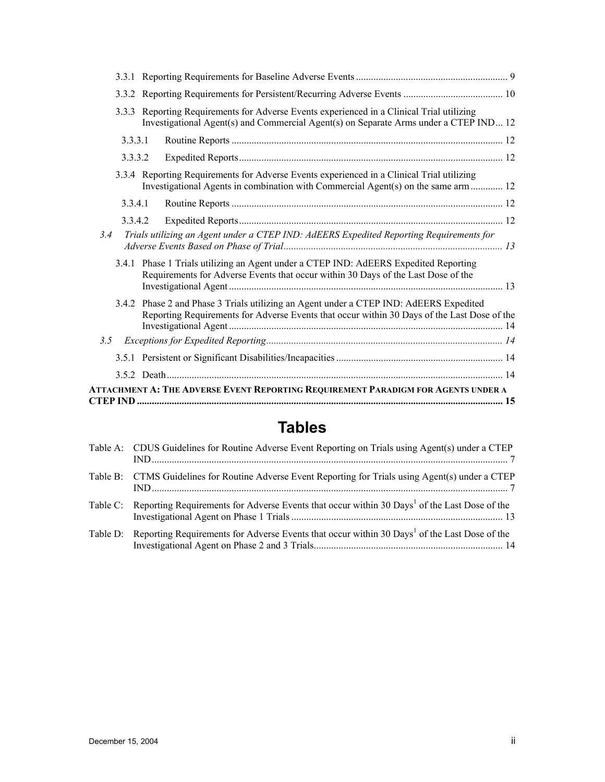|               | 3.3.3 Reporting Requirements for Adverse Events experienced in a Clinical Trial utilizing<br>Investigational Agent(s) and Commercial Agent(s) on Separate Arms under a CTEP IND 12    |  |
|---------------|---------------------------------------------------------------------------------------------------------------------------------------------------------------------------------------|--|
| 3.3.3.1       |                                                                                                                                                                                       |  |
| 3.3.3.2       |                                                                                                                                                                                       |  |
|               | 3.3.4 Reporting Requirements for Adverse Events experienced in a Clinical Trial utilizing<br>Investigational Agents in combination with Commercial Agent(s) on the same arm  12       |  |
| 3.3.4.1       |                                                                                                                                                                                       |  |
| 3.3.4.2       |                                                                                                                                                                                       |  |
| 3.4           | Trials utilizing an Agent under a CTEP IND: AdEERS Expedited Reporting Requirements for                                                                                               |  |
|               | 3.4.1 Phase 1 Trials utilizing an Agent under a CTEP IND: AdEERS Expedited Reporting<br>Requirements for Adverse Events that occur within 30 Days of the Last Dose of the             |  |
|               | 3.4.2 Phase 2 and Phase 3 Trials utilizing an Agent under a CTEP IND: AdEERS Expedited<br>Reporting Requirements for Adverse Events that occur within 30 Days of the Last Dose of the |  |
| $3.5^{\circ}$ |                                                                                                                                                                                       |  |
|               |                                                                                                                                                                                       |  |
|               |                                                                                                                                                                                       |  |
|               | ATTACHMENT A: THE ADVERSE EVENT REPORTING REQUIREMENT PARADIGM FOR AGENTS UNDER A                                                                                                     |  |

# **Tables**

| Table A: CDUS Guidelines for Routine Adverse Event Reporting on Trials using Agent(s) under a CTEP                |
|-------------------------------------------------------------------------------------------------------------------|
| Table B: CTMS Guidelines for Routine Adverse Event Reporting for Trials using Agent(s) under a CTEP               |
| Table C: Reporting Requirements for Adverse Events that occur within 30 Days <sup>1</sup> of the Last Dose of the |
| Table D: Reporting Requirements for Adverse Events that occur within 30 Days <sup>1</sup> of the Last Dose of the |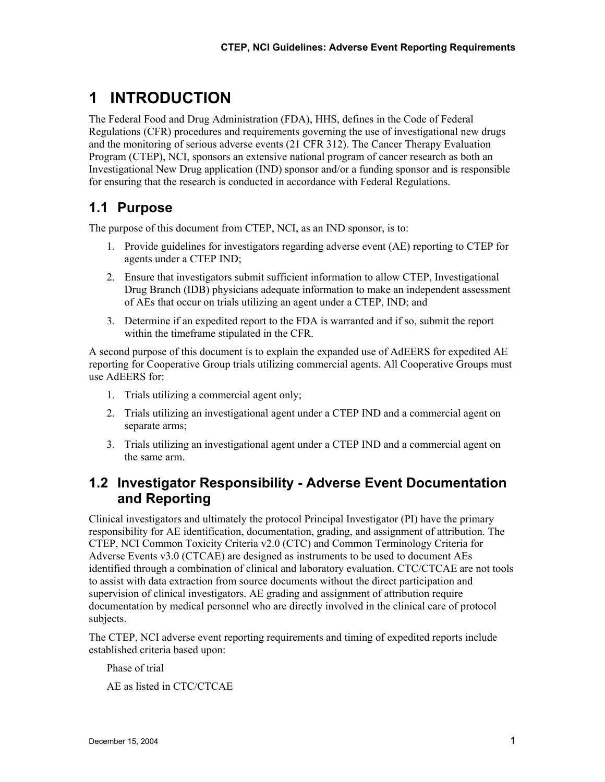# **1 INTRODUCTION**

The Federal Food and Drug Administration (FDA), HHS, defines in the Code of Federal Regulations (CFR) procedures and requirements governing the use of investigational new drugs and the monitoring of serious adverse events (21 CFR 312). The Cancer Therapy Evaluation Program (CTEP), NCI, sponsors an extensive national program of cancer research as both an Investigational New Drug application (IND) sponsor and/or a funding sponsor and is responsible for ensuring that the research is conducted in accordance with Federal Regulations.

# **1.1 Purpose**

The purpose of this document from CTEP, NCI, as an IND sponsor, is to:

- 1. Provide guidelines for investigators regarding adverse event (AE) reporting to CTEP for agents under a CTEP IND;
- 2. Ensure that investigators submit sufficient information to allow CTEP, Investigational Drug Branch (IDB) physicians adequate information to make an independent assessment of AEs that occur on trials utilizing an agent under a CTEP, IND; and
- 3. Determine if an expedited report to the FDA is warranted and if so, submit the report within the timeframe stipulated in the CFR.

A second purpose of this document is to explain the expanded use of AdEERS for expedited AE reporting for Cooperative Group trials utilizing commercial agents. All Cooperative Groups must use AdEERS for:

- 1. Trials utilizing a commercial agent only;
- 2. Trials utilizing an investigational agent under a CTEP IND and a commercial agent on separate arms;
- 3. Trials utilizing an investigational agent under a CTEP IND and a commercial agent on the same arm.

### **1.2 Investigator Responsibility - Adverse Event Documentation and Reporting**

Clinical investigators and ultimately the protocol Principal Investigator (PI) have the primary responsibility for AE identification, documentation, grading, and assignment of attribution. The CTEP, NCI Common Toxicity Criteria v2.0 (CTC) and Common Terminology Criteria for Adverse Events v3.0 (CTCAE) are designed as instruments to be used to document AEs identified through a combination of clinical and laboratory evaluation. CTC/CTCAE are not tools to assist with data extraction from source documents without the direct participation and supervision of clinical investigators. AE grading and assignment of attribution require documentation by medical personnel who are directly involved in the clinical care of protocol subjects.

The CTEP, NCI adverse event reporting requirements and timing of expedited reports include established criteria based upon:

Phase of trial

AE as listed in CTC/CTCAE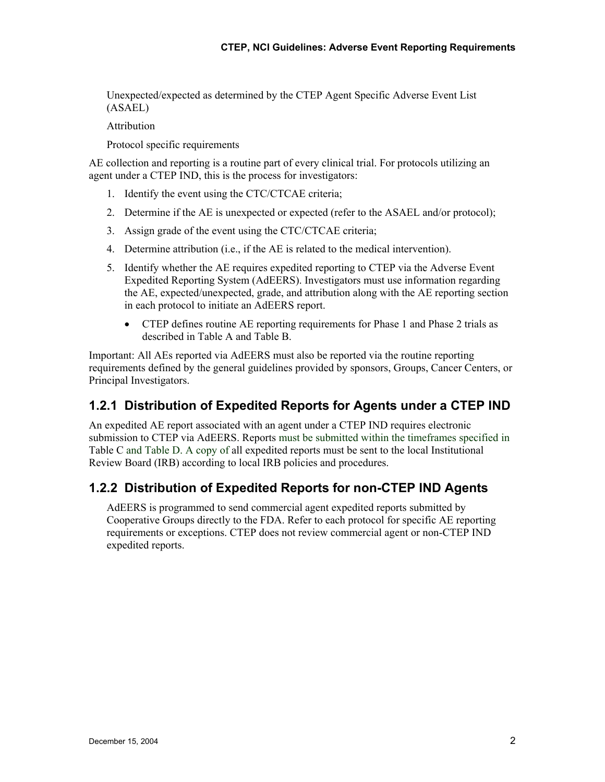Unexpected/expected as determined by the CTEP Agent Specific Adverse Event List (ASAEL)

Attribution

Protocol specific requirements

AE collection and reporting is a routine part of every clinical trial. For protocols utilizing an agent under a CTEP IND, this is the process for investigators:

- 1. Identify the event using the CTC/CTCAE criteria;
- 2. Determine if the AE is unexpected or expected (refer to the ASAEL and/or protocol);
- 3. Assign grade of the event using the CTC/CTCAE criteria;
- 4. Determine attribution (i.e., if the AE is related to the medical intervention).
- 5. Identify whether the AE requires expedited reporting to CTEP via the Adverse Event Expedited Reporting System (AdEERS). Investigators must use information regarding the AE, expected/unexpected, grade, and attribution along with the AE reporting section in each protocol to initiate an AdEERS report.
	- CTEP defines routine AE reporting requirements for Phase 1 and Phase 2 trials as described in Table A and Table B.

Important: All AEs reported via AdEERS must also be reported via the routine reporting requirements defined by the general guidelines provided by sponsors, Groups, Cancer Centers, or Principal Investigators.

#### **1.2.1 Distribution of Expedited Reports for Agents under a CTEP IND**

An expedited AE report associated with an agent under a CTEP IND requires electronic submission to CTEP via AdEERS. Reports must be submitted within the timeframes specified in Table C and Table D. A copy of all expedited reports must be sent to the local Institutional Review Board (IRB) according to local IRB policies and procedures.

#### **1.2.2 Distribution of Expedited Reports for non-CTEP IND Agents**

AdEERS is programmed to send commercial agent expedited reports submitted by Cooperative Groups directly to the FDA. Refer to each protocol for specific AE reporting requirements or exceptions. CTEP does not review commercial agent or non-CTEP IND expedited reports.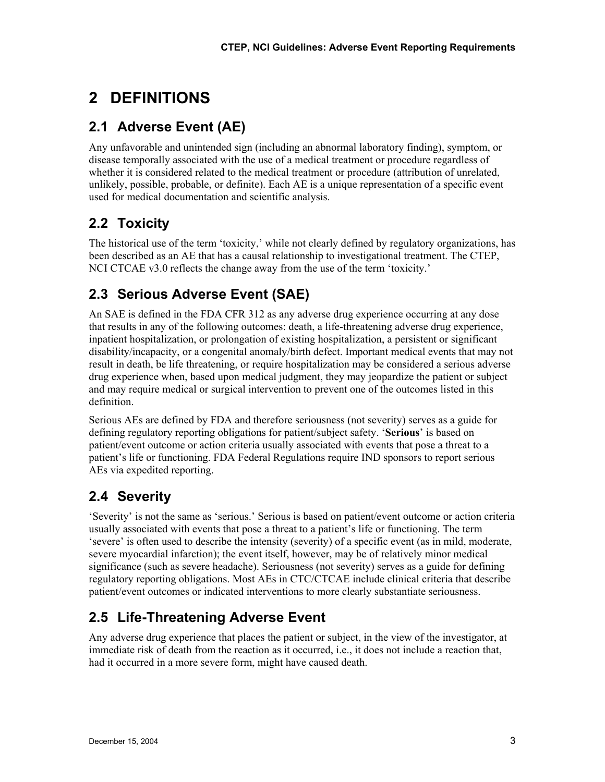# **2 DEFINITIONS**

# **2.1 Adverse Event (AE)**

Any unfavorable and unintended sign (including an abnormal laboratory finding), symptom, or disease temporally associated with the use of a medical treatment or procedure regardless of whether it is considered related to the medical treatment or procedure (attribution of unrelated, unlikely, possible, probable, or definite). Each AE is a unique representation of a specific event used for medical documentation and scientific analysis.

# **2.2 Toxicity**

The historical use of the term 'toxicity,' while not clearly defined by regulatory organizations, has been described as an AE that has a causal relationship to investigational treatment. The CTEP, NCI CTCAE v3.0 reflects the change away from the use of the term 'toxicity.'

# **2.3 Serious Adverse Event (SAE)**

An SAE is defined in the FDA CFR 312 as any adverse drug experience occurring at any dose that results in any of the following outcomes: death, a life-threatening adverse drug experience, inpatient hospitalization, or prolongation of existing hospitalization, a persistent or significant disability/incapacity, or a congenital anomaly/birth defect. Important medical events that may not result in death, be life threatening, or require hospitalization may be considered a serious adverse drug experience when, based upon medical judgment, they may jeopardize the patient or subject and may require medical or surgical intervention to prevent one of the outcomes listed in this definition.

Serious AEs are defined by FDA and therefore seriousness (not severity) serves as a guide for defining regulatory reporting obligations for patient/subject safety. '**Serious**' is based on patient/event outcome or action criteria usually associated with events that pose a threat to a patient's life or functioning. FDA Federal Regulations require IND sponsors to report serious AEs via expedited reporting.

# **2.4 Severity**

'Severity' is not the same as 'serious.' Serious is based on patient/event outcome or action criteria usually associated with events that pose a threat to a patient's life or functioning. The term 'severe' is often used to describe the intensity (severity) of a specific event (as in mild, moderate, severe myocardial infarction); the event itself, however, may be of relatively minor medical significance (such as severe headache). Seriousness (not severity) serves as a guide for defining regulatory reporting obligations. Most AEs in CTC/CTCAE include clinical criteria that describe patient/event outcomes or indicated interventions to more clearly substantiate seriousness.

# **2.5 Life-Threatening Adverse Event**

Any adverse drug experience that places the patient or subject, in the view of the investigator, at immediate risk of death from the reaction as it occurred, i.e., it does not include a reaction that, had it occurred in a more severe form, might have caused death.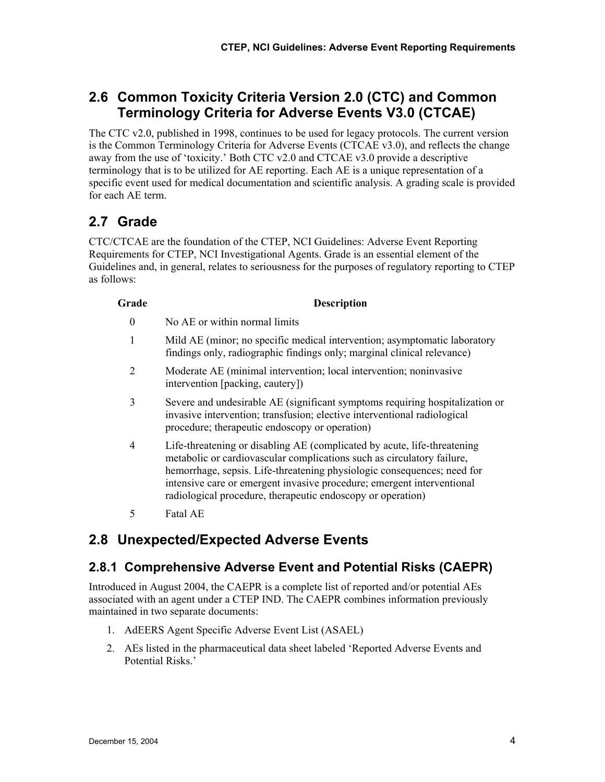# **2.6 Common Toxicity Criteria Version 2.0 (CTC) and Common Terminology Criteria for Adverse Events V3.0 (CTCAE)**

The CTC v2.0, published in 1998, continues to be used for legacy protocols. The current version is the Common Terminology Criteria for Adverse Events (CTCAE v3.0), and reflects the change away from the use of 'toxicity.' Both CTC v2.0 and CTCAE v3.0 provide a descriptive terminology that is to be utilized for AE reporting. Each AE is a unique representation of a specific event used for medical documentation and scientific analysis. A grading scale is provided for each AE term.

# **2.7 Grade**

CTC/CTCAE are the foundation of the CTEP, NCI Guidelines: Adverse Event Reporting Requirements for CTEP, NCI Investigational Agents. Grade is an essential element of the Guidelines and, in general, relates to seriousness for the purposes of regulatory reporting to CTEP as follows:

#### **Grade Description**

- 0 No AE or within normal limits
- 1 Mild AE (minor; no specific medical intervention; asymptomatic laboratory findings only, radiographic findings only; marginal clinical relevance)
- 2 Moderate AE (minimal intervention; local intervention; noninvasive intervention [packing, cautery])
- 3 Severe and undesirable AE (significant symptoms requiring hospitalization or invasive intervention; transfusion; elective interventional radiological procedure; therapeutic endoscopy or operation)
- 4 Life-threatening or disabling AE (complicated by acute, life-threatening metabolic or cardiovascular complications such as circulatory failure, hemorrhage, sepsis. Life-threatening physiologic consequences; need for intensive care or emergent invasive procedure; emergent interventional radiological procedure, therapeutic endoscopy or operation)
- 5 Fatal AE

### **2.8 Unexpected/Expected Adverse Events**

#### **2.8.1 Comprehensive Adverse Event and Potential Risks (CAEPR)**

Introduced in August 2004, the CAEPR is a complete list of reported and/or potential AEs associated with an agent under a CTEP IND. The CAEPR combines information previously maintained in two separate documents:

- 1. AdEERS Agent Specific Adverse Event List (ASAEL)
- 2. AEs listed in the pharmaceutical data sheet labeled 'Reported Adverse Events and Potential Risks.'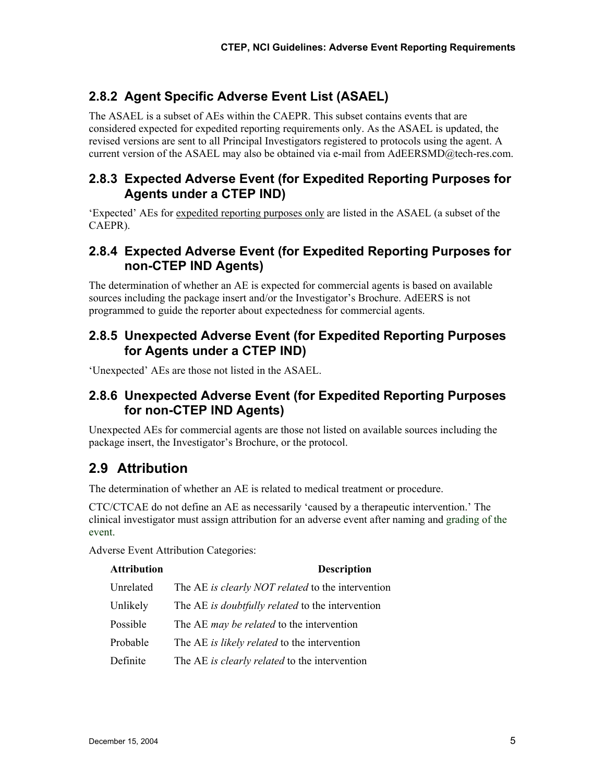#### **2.8.2 Agent Specific Adverse Event List (ASAEL)**

The ASAEL is a subset of AEs within the CAEPR. This subset contains events that are considered expected for expedited reporting requirements only. As the ASAEL is updated, the revised versions are sent to all Principal Investigators registered to protocols using the agent. A current version of the ASAEL may also be obtained via e-mail from AdEERSMD@tech-res.com.

#### **2.8.3 Expected Adverse Event (for Expedited Reporting Purposes for Agents under a CTEP IND)**

'Expected' AEs for expedited reporting purposes only are listed in the ASAEL (a subset of the CAEPR).

#### **2.8.4 Expected Adverse Event (for Expedited Reporting Purposes for non-CTEP IND Agents)**

The determination of whether an AE is expected for commercial agents is based on available sources including the package insert and/or the Investigator's Brochure. AdEERS is not programmed to guide the reporter about expectedness for commercial agents.

#### **2.8.5 Unexpected Adverse Event (for Expedited Reporting Purposes for Agents under a CTEP IND)**

'Unexpected' AEs are those not listed in the ASAEL.

#### **2.8.6 Unexpected Adverse Event (for Expedited Reporting Purposes for non-CTEP IND Agents)**

Unexpected AEs for commercial agents are those not listed on available sources including the package insert, the Investigator's Brochure, or the protocol.

# **2.9 Attribution**

The determination of whether an AE is related to medical treatment or procedure.

CTC/CTCAE do not define an AE as necessarily 'caused by a therapeutic intervention.' The clinical investigator must assign attribution for an adverse event after naming and grading of the event.

Adverse Event Attribution Categories:

| <b>Attribution</b> | <b>Description</b>                                |
|--------------------|---------------------------------------------------|
| Unrelated          | The AE is clearly NOT related to the intervention |
| Unlikely           | The AE is doubtfully related to the intervention  |
| Possible           | The AE <i>may be related</i> to the intervention  |
| Probable           | The AE is likely related to the intervention      |
| Definite           | The AE is clearly related to the intervention     |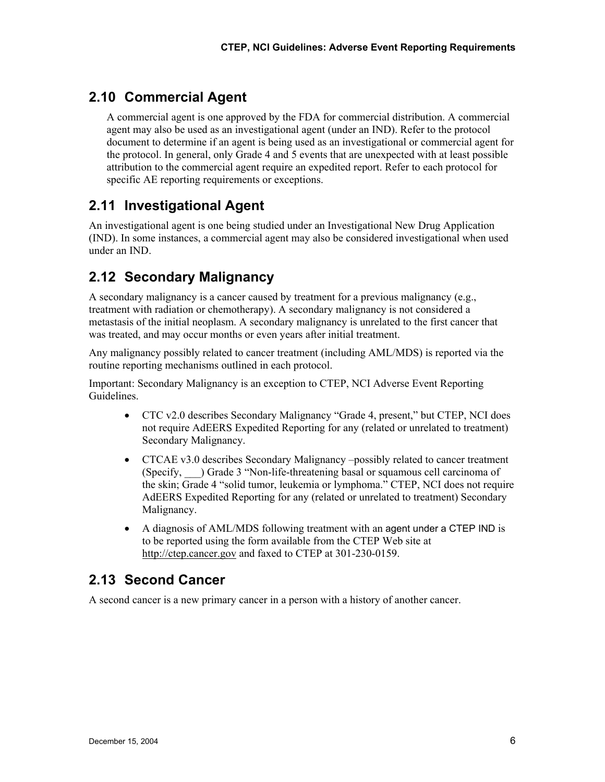# **2.10 Commercial Agent**

A commercial agent is one approved by the FDA for commercial distribution. A commercial agent may also be used as an investigational agent (under an IND). Refer to the protocol document to determine if an agent is being used as an investigational or commercial agent for the protocol. In general, only Grade 4 and 5 events that are unexpected with at least possible attribution to the commercial agent require an expedited report. Refer to each protocol for specific AE reporting requirements or exceptions.

# **2.11 Investigational Agent**

An investigational agent is one being studied under an Investigational New Drug Application (IND). In some instances, a commercial agent may also be considered investigational when used under an IND.

# **2.12 Secondary Malignancy**

A secondary malignancy is a cancer caused by treatment for a previous malignancy (e.g., treatment with radiation or chemotherapy). A secondary malignancy is not considered a metastasis of the initial neoplasm. A secondary malignancy is unrelated to the first cancer that was treated, and may occur months or even years after initial treatment.

Any malignancy possibly related to cancer treatment (including AML/MDS) is reported via the routine reporting mechanisms outlined in each protocol.

Important: Secondary Malignancy is an exception to CTEP, NCI Adverse Event Reporting Guidelines.

- CTC v2.0 describes Secondary Malignancy "Grade 4, present," but CTEP, NCI does not require AdEERS Expedited Reporting for any (related or unrelated to treatment) Secondary Malignancy.
- CTCAE v3.0 describes Secondary Malignancy –possibly related to cancer treatment (Specify, \_\_\_) Grade 3 "Non-life-threatening basal or squamous cell carcinoma of the skin; Grade 4 "solid tumor, leukemia or lymphoma." CTEP, NCI does not require AdEERS Expedited Reporting for any (related or unrelated to treatment) Secondary Malignancy.
- A diagnosis of AML/MDS following treatment with an agent under a CTEP IND is to be reported using the form available from the CTEP Web site at http://ctep.cancer.gov and faxed to CTEP at 301-230-0159.

### **2.13 Second Cancer**

A second cancer is a new primary cancer in a person with a history of another cancer.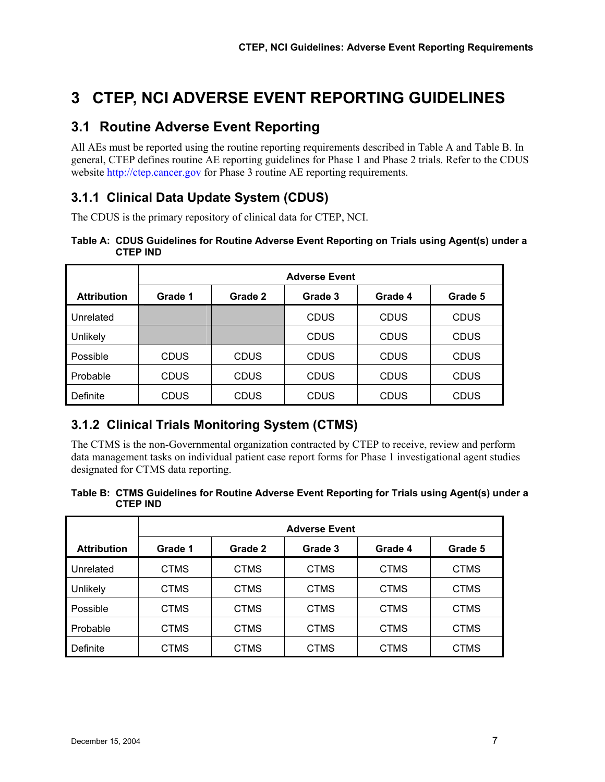# **3 CTEP, NCI ADVERSE EVENT REPORTING GUIDELINES**

#### **3.1 Routine Adverse Event Reporting**

All AEs must be reported using the routine reporting requirements described in Table A and Table B. In general, CTEP defines routine AE reporting guidelines for Phase 1 and Phase 2 trials. Refer to the CDUS website http://ctep.cancer.gov for Phase 3 routine AE reporting requirements.

#### **3.1.1 Clinical Data Update System (CDUS)**

The CDUS is the primary repository of clinical data for CTEP, NCI.

#### **Table A: CDUS Guidelines for Routine Adverse Event Reporting on Trials using Agent(s) under a CTEP IND**

|                    | <b>Adverse Event</b> |             |             |             |             |  |  |  |  |  |
|--------------------|----------------------|-------------|-------------|-------------|-------------|--|--|--|--|--|
| <b>Attribution</b> | Grade 1              | Grade 2     | Grade 3     | Grade 4     | Grade 5     |  |  |  |  |  |
| Unrelated          |                      |             | <b>CDUS</b> | <b>CDUS</b> | <b>CDUS</b> |  |  |  |  |  |
| Unlikely           |                      |             | <b>CDUS</b> | <b>CDUS</b> | <b>CDUS</b> |  |  |  |  |  |
| Possible           | <b>CDUS</b>          | <b>CDUS</b> | <b>CDUS</b> | <b>CDUS</b> | <b>CDUS</b> |  |  |  |  |  |
| Probable           | <b>CDUS</b>          | <b>CDUS</b> | <b>CDUS</b> | <b>CDUS</b> | <b>CDUS</b> |  |  |  |  |  |
| Definite           | CDUS                 | <b>CDUS</b> | CDUS        | <b>CDUS</b> | <b>CDUS</b> |  |  |  |  |  |

### **3.1.2 Clinical Trials Monitoring System (CTMS)**

The CTMS is the non-Governmental organization contracted by CTEP to receive, review and perform data management tasks on individual patient case report forms for Phase 1 investigational agent studies designated for CTMS data reporting.

#### **Table B: CTMS Guidelines for Routine Adverse Event Reporting for Trials using Agent(s) under a CTEP IND**

|                    | <b>Adverse Event</b> |             |             |             |             |  |  |  |  |  |
|--------------------|----------------------|-------------|-------------|-------------|-------------|--|--|--|--|--|
| <b>Attribution</b> | Grade 1              | Grade 2     | Grade 3     | Grade 4     | Grade 5     |  |  |  |  |  |
| Unrelated          | <b>CTMS</b>          | <b>CTMS</b> | <b>CTMS</b> | <b>CTMS</b> | <b>CTMS</b> |  |  |  |  |  |
| Unlikely           | <b>CTMS</b>          | <b>CTMS</b> | <b>CTMS</b> | <b>CTMS</b> | <b>CTMS</b> |  |  |  |  |  |
| Possible           | <b>CTMS</b>          | <b>CTMS</b> | <b>CTMS</b> | <b>CTMS</b> | <b>CTMS</b> |  |  |  |  |  |
| Probable           | <b>CTMS</b>          | <b>CTMS</b> | <b>CTMS</b> | <b>CTMS</b> | <b>CTMS</b> |  |  |  |  |  |
| Definite           | <b>CTMS</b>          | <b>CTMS</b> | <b>CTMS</b> | <b>CTMS</b> | <b>CTMS</b> |  |  |  |  |  |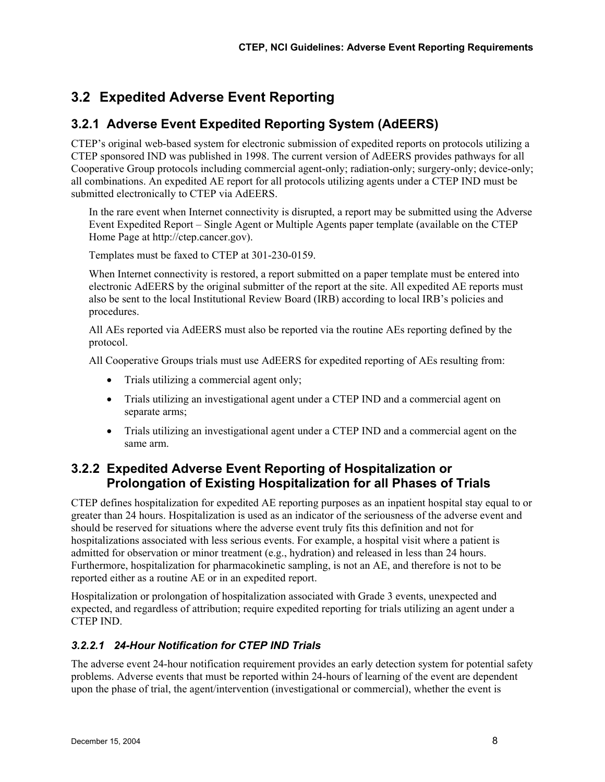# **3.2 Expedited Adverse Event Reporting**

### **3.2.1 Adverse Event Expedited Reporting System (AdEERS)**

CTEP's original web-based system for electronic submission of expedited reports on protocols utilizing a CTEP sponsored IND was published in 1998. The current version of AdEERS provides pathways for all Cooperative Group protocols including commercial agent-only; radiation-only; surgery-only; device-only; all combinations. An expedited AE report for all protocols utilizing agents under a CTEP IND must be submitted electronically to CTEP via AdEERS.

In the rare event when Internet connectivity is disrupted, a report may be submitted using the Adverse Event Expedited Report – Single Agent or Multiple Agents paper template (available on the CTEP Home Page at http://ctep.cancer.gov).

Templates must be faxed to CTEP at 301-230-0159.

When Internet connectivity is restored, a report submitted on a paper template must be entered into electronic AdEERS by the original submitter of the report at the site. All expedited AE reports must also be sent to the local Institutional Review Board (IRB) according to local IRB's policies and procedures.

All AEs reported via AdEERS must also be reported via the routine AEs reporting defined by the protocol.

All Cooperative Groups trials must use AdEERS for expedited reporting of AEs resulting from:

- Trials utilizing a commercial agent only;
- Trials utilizing an investigational agent under a CTEP IND and a commercial agent on separate arms;
- Trials utilizing an investigational agent under a CTEP IND and a commercial agent on the same arm.

#### **3.2.2 Expedited Adverse Event Reporting of Hospitalization or Prolongation of Existing Hospitalization for all Phases of Trials**

CTEP defines hospitalization for expedited AE reporting purposes as an inpatient hospital stay equal to or greater than 24 hours. Hospitalization is used as an indicator of the seriousness of the adverse event and should be reserved for situations where the adverse event truly fits this definition and not for hospitalizations associated with less serious events. For example, a hospital visit where a patient is admitted for observation or minor treatment (e.g., hydration) and released in less than 24 hours. Furthermore, hospitalization for pharmacokinetic sampling, is not an AE, and therefore is not to be reported either as a routine AE or in an expedited report.

Hospitalization or prolongation of hospitalization associated with Grade 3 events, unexpected and expected, and regardless of attribution; require expedited reporting for trials utilizing an agent under a CTEP IND.

#### *3.2.2.1 24-Hour Notification for CTEP IND Trials*

The adverse event 24-hour notification requirement provides an early detection system for potential safety problems. Adverse events that must be reported within 24-hours of learning of the event are dependent upon the phase of trial, the agent/intervention (investigational or commercial), whether the event is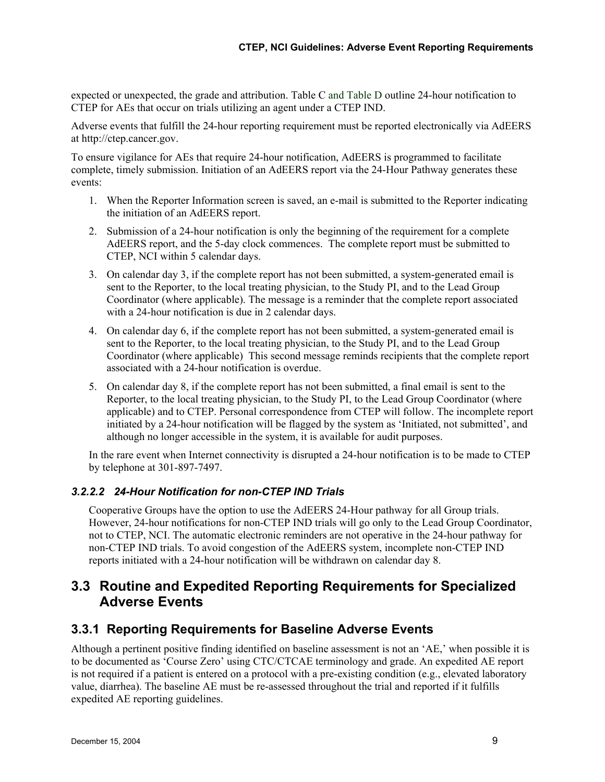expected or unexpected, the grade and attribution. Table C and Table D outline 24-hour notification to CTEP for AEs that occur on trials utilizing an agent under a CTEP IND.

Adverse events that fulfill the 24-hour reporting requirement must be reported electronically via AdEERS at http://ctep.cancer.gov.

To ensure vigilance for AEs that require 24-hour notification, AdEERS is programmed to facilitate complete, timely submission. Initiation of an AdEERS report via the 24-Hour Pathway generates these events:

- 1. When the Reporter Information screen is saved, an e-mail is submitted to the Reporter indicating the initiation of an AdEERS report.
- 2. Submission of a 24-hour notification is only the beginning of the requirement for a complete AdEERS report, and the 5-day clock commences. The complete report must be submitted to CTEP, NCI within 5 calendar days.
- 3. On calendar day 3, if the complete report has not been submitted, a system-generated email is sent to the Reporter, to the local treating physician, to the Study PI, and to the Lead Group Coordinator (where applicable). The message is a reminder that the complete report associated with a 24-hour notification is due in 2 calendar days.
- 4. On calendar day 6, if the complete report has not been submitted, a system-generated email is sent to the Reporter, to the local treating physician, to the Study PI, and to the Lead Group Coordinator (where applicable) This second message reminds recipients that the complete report associated with a 24-hour notification is overdue.
- 5. On calendar day 8, if the complete report has not been submitted, a final email is sent to the Reporter, to the local treating physician, to the Study PI, to the Lead Group Coordinator (where applicable) and to CTEP. Personal correspondence from CTEP will follow. The incomplete report initiated by a 24-hour notification will be flagged by the system as 'Initiated, not submitted', and although no longer accessible in the system, it is available for audit purposes.

In the rare event when Internet connectivity is disrupted a 24-hour notification is to be made to CTEP by telephone at 301-897-7497.

#### *3.2.2.2 24-Hour Notification for non-CTEP IND Trials*

Cooperative Groups have the option to use the AdEERS 24-Hour pathway for all Group trials. However, 24-hour notifications for non-CTEP IND trials will go only to the Lead Group Coordinator, not to CTEP, NCI. The automatic electronic reminders are not operative in the 24-hour pathway for non-CTEP IND trials. To avoid congestion of the AdEERS system, incomplete non-CTEP IND reports initiated with a 24-hour notification will be withdrawn on calendar day 8.

#### **3.3 Routine and Expedited Reporting Requirements for Specialized Adverse Events**

#### **3.3.1 Reporting Requirements for Baseline Adverse Events**

Although a pertinent positive finding identified on baseline assessment is not an 'AE,' when possible it is to be documented as 'Course Zero' using CTC/CTCAE terminology and grade. An expedited AE report is not required if a patient is entered on a protocol with a pre-existing condition (e.g., elevated laboratory value, diarrhea). The baseline AE must be re-assessed throughout the trial and reported if it fulfills expedited AE reporting guidelines.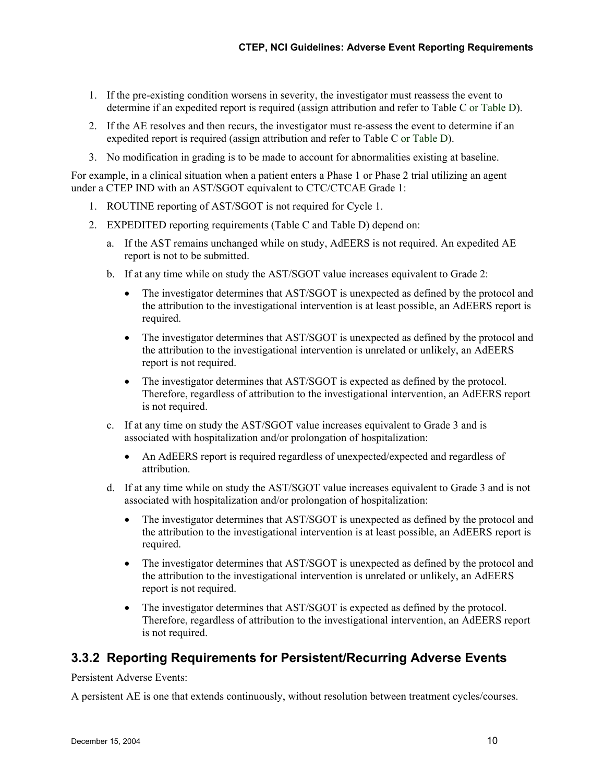- 1. If the pre-existing condition worsens in severity, the investigator must reassess the event to determine if an expedited report is required (assign attribution and refer to Table C or Table D).
- 2. If the AE resolves and then recurs, the investigator must re-assess the event to determine if an expedited report is required (assign attribution and refer to Table C or Table D).
- 3. No modification in grading is to be made to account for abnormalities existing at baseline.

For example, in a clinical situation when a patient enters a Phase 1 or Phase 2 trial utilizing an agent under a CTEP IND with an AST/SGOT equivalent to CTC/CTCAE Grade 1:

- 1. ROUTINE reporting of AST/SGOT is not required for Cycle 1.
- 2. EXPEDITED reporting requirements (Table C and Table D) depend on:
	- a. If the AST remains unchanged while on study, AdEERS is not required. An expedited AE report is not to be submitted.
	- b. If at any time while on study the AST/SGOT value increases equivalent to Grade 2:
		- The investigator determines that AST/SGOT is unexpected as defined by the protocol and the attribution to the investigational intervention is at least possible, an AdEERS report is required.
		- The investigator determines that AST/SGOT is unexpected as defined by the protocol and the attribution to the investigational intervention is unrelated or unlikely, an AdEERS report is not required.
		- The investigator determines that AST/SGOT is expected as defined by the protocol. Therefore, regardless of attribution to the investigational intervention, an AdEERS report is not required.
	- c. If at any time on study the AST/SGOT value increases equivalent to Grade 3 and is associated with hospitalization and/or prolongation of hospitalization:
		- An AdEERS report is required regardless of unexpected/expected and regardless of attribution.
	- d. If at any time while on study the AST/SGOT value increases equivalent to Grade 3 and is not associated with hospitalization and/or prolongation of hospitalization:
		- The investigator determines that AST/SGOT is unexpected as defined by the protocol and the attribution to the investigational intervention is at least possible, an AdEERS report is required.
		- The investigator determines that AST/SGOT is unexpected as defined by the protocol and the attribution to the investigational intervention is unrelated or unlikely, an AdEERS report is not required.
		- The investigator determines that AST/SGOT is expected as defined by the protocol. Therefore, regardless of attribution to the investigational intervention, an AdEERS report is not required.

#### **3.3.2 Reporting Requirements for Persistent/Recurring Adverse Events**

Persistent Adverse Events:

A persistent AE is one that extends continuously, without resolution between treatment cycles/courses.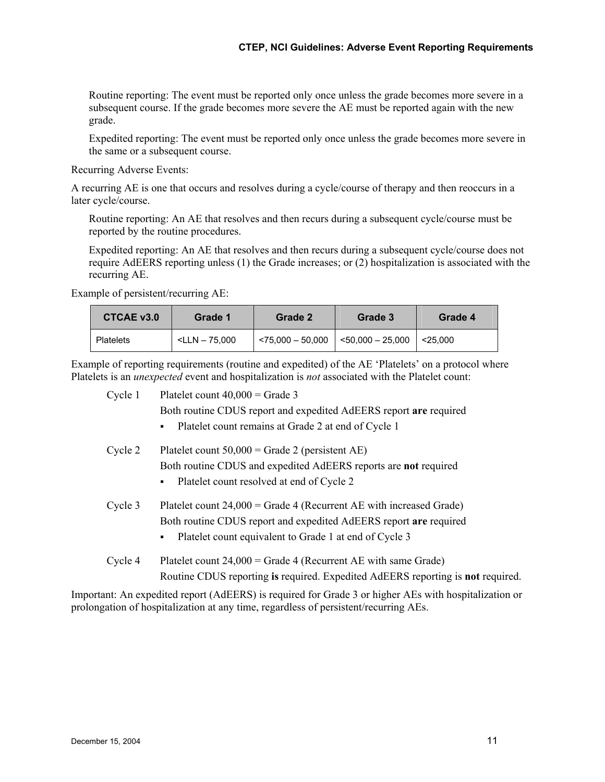Routine reporting: The event must be reported only once unless the grade becomes more severe in a subsequent course. If the grade becomes more severe the AE must be reported again with the new grade.

Expedited reporting: The event must be reported only once unless the grade becomes more severe in the same or a subsequent course.

Recurring Adverse Events:

A recurring AE is one that occurs and resolves during a cycle/course of therapy and then reoccurs in a later cycle/course.

Routine reporting: An AE that resolves and then recurs during a subsequent cycle/course must be reported by the routine procedures.

Expedited reporting: An AE that resolves and then recurs during a subsequent cycle/course does not require AdEERS reporting unless (1) the Grade increases; or (2) hospitalization is associated with the recurring AE.

Example of persistent/recurring AE:

| CTCAE v3.0       | Grade 1               |                      | Grade 3               | Grade 4    |  |
|------------------|-----------------------|----------------------|-----------------------|------------|--|
| <b>Platelets</b> | $\leq$ LLN $-$ 75.000 | $~1475.000 - 50.000$ | $<$ 50.000 $-$ 25.000 | $<$ 25.000 |  |

Example of reporting requirements (routine and expedited) of the AE 'Platelets' on a protocol where Platelets is an *unexpected* event and hospitalization is *not* associated with the Platelet count:

| Cycle 1 | Platelet count $40,000 =$ Grade 3                                               |  |  |  |  |  |  |
|---------|---------------------------------------------------------------------------------|--|--|--|--|--|--|
|         | Both routine CDUS report and expedited AdEERS report are required               |  |  |  |  |  |  |
|         | Platelet count remains at Grade 2 at end of Cycle 1<br>٠                        |  |  |  |  |  |  |
| Cycle 2 | Platelet count $50,000 =$ Grade 2 (persistent AE)                               |  |  |  |  |  |  |
|         | Both routine CDUS and expedited AdEERS reports are not required                 |  |  |  |  |  |  |
|         | Platelet count resolved at end of Cycle 2<br>$\blacksquare$                     |  |  |  |  |  |  |
| Cycle 3 | Platelet count $24,000 =$ Grade 4 (Recurrent AE with increased Grade)           |  |  |  |  |  |  |
|         | Both routine CDUS report and expedited AdEERS report are required               |  |  |  |  |  |  |
|         | Platelet count equivalent to Grade 1 at end of Cycle 3<br>٠                     |  |  |  |  |  |  |
| Cycle 4 | Platelet count $24,000 =$ Grade 4 (Recurrent AE with same Grade)                |  |  |  |  |  |  |
|         | Routine CDUS reporting is required. Expedited AdEERS reporting is not required. |  |  |  |  |  |  |

Important: An expedited report (AdEERS) is required for Grade 3 or higher AEs with hospitalization or prolongation of hospitalization at any time, regardless of persistent/recurring AEs.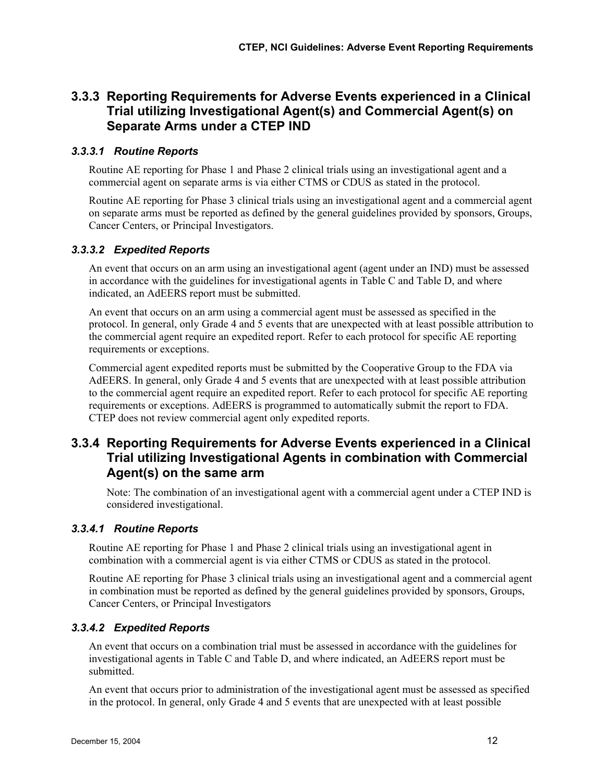#### **3.3.3 Reporting Requirements for Adverse Events experienced in a Clinical Trial utilizing Investigational Agent(s) and Commercial Agent(s) on Separate Arms under a CTEP IND**

#### *3.3.3.1 Routine Reports*

Routine AE reporting for Phase 1 and Phase 2 clinical trials using an investigational agent and a commercial agent on separate arms is via either CTMS or CDUS as stated in the protocol.

Routine AE reporting for Phase 3 clinical trials using an investigational agent and a commercial agent on separate arms must be reported as defined by the general guidelines provided by sponsors, Groups, Cancer Centers, or Principal Investigators.

#### *3.3.3.2 Expedited Reports*

An event that occurs on an arm using an investigational agent (agent under an IND) must be assessed in accordance with the guidelines for investigational agents in Table C and Table D, and where indicated, an AdEERS report must be submitted.

An event that occurs on an arm using a commercial agent must be assessed as specified in the protocol. In general, only Grade 4 and 5 events that are unexpected with at least possible attribution to the commercial agent require an expedited report. Refer to each protocol for specific AE reporting requirements or exceptions.

Commercial agent expedited reports must be submitted by the Cooperative Group to the FDA via AdEERS. In general, only Grade 4 and 5 events that are unexpected with at least possible attribution to the commercial agent require an expedited report. Refer to each protocol for specific AE reporting requirements or exceptions. AdEERS is programmed to automatically submit the report to FDA. CTEP does not review commercial agent only expedited reports.

#### **3.3.4 Reporting Requirements for Adverse Events experienced in a Clinical Trial utilizing Investigational Agents in combination with Commercial Agent(s) on the same arm**

Note: The combination of an investigational agent with a commercial agent under a CTEP IND is considered investigational.

#### *3.3.4.1 Routine Reports*

Routine AE reporting for Phase 1 and Phase 2 clinical trials using an investigational agent in combination with a commercial agent is via either CTMS or CDUS as stated in the protocol.

Routine AE reporting for Phase 3 clinical trials using an investigational agent and a commercial agent in combination must be reported as defined by the general guidelines provided by sponsors, Groups, Cancer Centers, or Principal Investigators

#### *3.3.4.2 Expedited Reports*

An event that occurs on a combination trial must be assessed in accordance with the guidelines for investigational agents in Table C and Table D, and where indicated, an AdEERS report must be submitted.

An event that occurs prior to administration of the investigational agent must be assessed as specified in the protocol. In general, only Grade 4 and 5 events that are unexpected with at least possible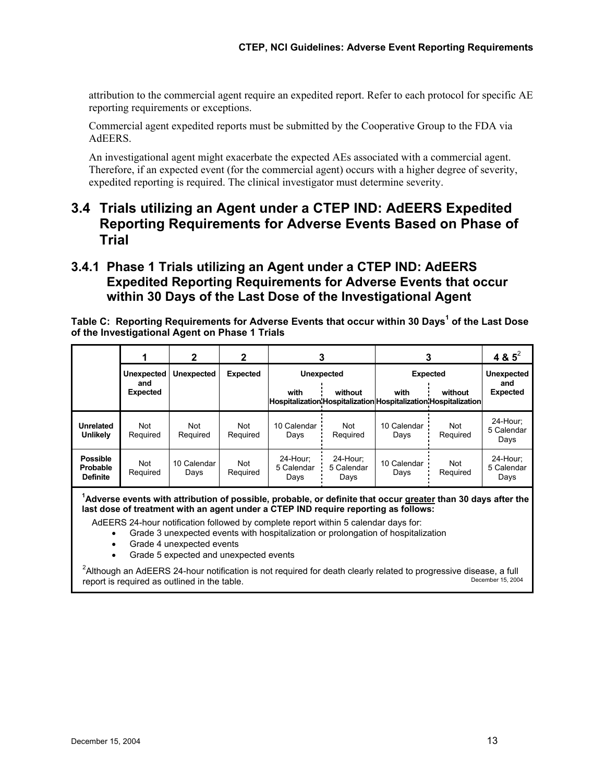attribution to the commercial agent require an expedited report. Refer to each protocol for specific AE reporting requirements or exceptions.

Commercial agent expedited reports must be submitted by the Cooperative Group to the FDA via AdEERS.

An investigational agent might exacerbate the expected AEs associated with a commercial agent. Therefore, if an expected event (for the commercial agent) occurs with a higher degree of severity, expedited reporting is required. The clinical investigator must determine severity.

#### **3.4 Trials utilizing an Agent under a CTEP IND: AdEERS Expedited Reporting Requirements for Adverse Events Based on Phase of Trial**

#### **3.4.1 Phase 1 Trials utilizing an Agent under a CTEP IND: AdEERS Expedited Reporting Requirements for Adverse Events that occur within 30 Days of the Last Dose of the Investigational Agent**

**Table C: Reporting Requirements for Adverse Events that occur within 30 Days<sup>1</sup> of the Last Dose of the Investigational Agent on Phase 1 Trials** 

|                                                |                        | $\mathbf{2}$        | 2               | 3                                                                       |                                | 3                   | 4 & $5^2$         |                                |
|------------------------------------------------|------------------------|---------------------|-----------------|-------------------------------------------------------------------------|--------------------------------|---------------------|-------------------|--------------------------------|
|                                                | <b>Unexpected</b>      | <b>Unexpected</b>   | <b>Expected</b> |                                                                         | <b>Unexpected</b>              | <b>Expected</b>     | <b>Unexpected</b> |                                |
|                                                | and<br><b>Expected</b> |                     |                 | with<br>Hospitalization Hospitalization Hospitalization Hospitalization | without                        | with                | without           | and<br><b>Expected</b>         |
| <b>Unrelated</b><br><b>Unlikely</b>            | Not<br>Required        | Not<br>Required     | Not<br>Required | 10 Calendar<br>Days                                                     | Not<br>Required                | 10 Calendar<br>Days | Not<br>Required   | 24-Hour:<br>5 Calendar<br>Days |
| <b>Possible</b><br>Probable<br><b>Definite</b> | Not<br>Required        | 10 Calendar<br>Days | Not<br>Required | 24-Hour:<br>5 Calendar<br>Days                                          | 24-Hour:<br>5 Calendar<br>Days | 10 Calendar<br>Days | Not<br>Required   | 24-Hour:<br>5 Calendar<br>Days |

**1 Adverse events with attribution of possible, probable, or definite that occur greater than 30 days after the last dose of treatment with an agent under a CTEP IND require reporting as follows:** 

AdEERS 24-hour notification followed by complete report within 5 calendar days for:

• Grade 3 unexpected events with hospitalization or prolongation of hospitalization

- Grade 4 unexpected events
- Grade 5 expected and unexpected events

<sup>2</sup>Although an AdEERS 24-hour notification is not required for death clearly related to progressive disease, a full report is required as outlined in the table. The contract of the contract of the december 15, 2004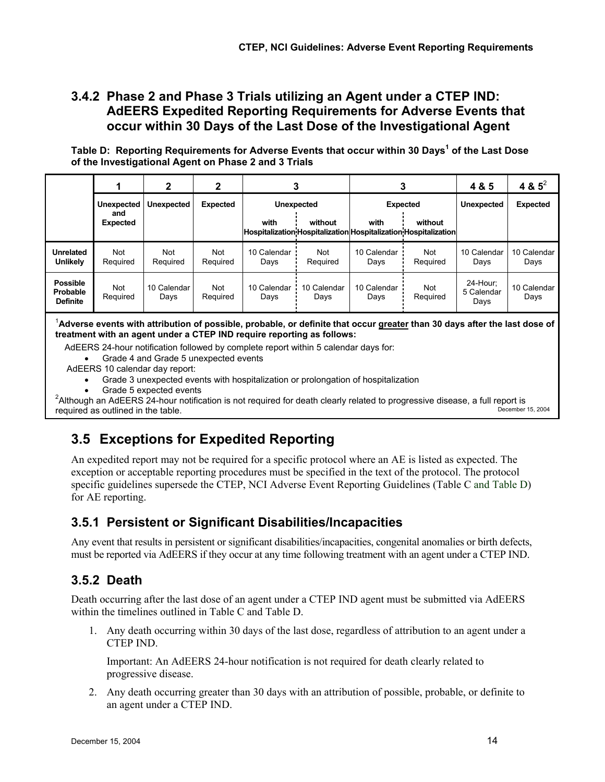#### **3.4.2 Phase 2 and Phase 3 Trials utilizing an Agent under a CTEP IND: AdEERS Expedited Reporting Requirements for Adverse Events that occur within 30 Days of the Last Dose of the Investigational Agent**

**Table D: Reporting Requirements for Adverse Events that occur within 30 Days<sup>1</sup> of the Last Dose of the Investigational Agent on Phase 2 and 3 Trials** 

|                                                | $\mathbf{2}$           |                                             | 2                      |                     |                        |                     |                                                                            | 4 & 5                          | 4 & $5^2$           |
|------------------------------------------------|------------------------|---------------------------------------------|------------------------|---------------------|------------------------|---------------------|----------------------------------------------------------------------------|--------------------------------|---------------------|
|                                                | Unexpected             | Expected<br><b>Unexpected</b><br>Unexpected |                        |                     |                        | <b>Expected</b>     | <b>Unexpected</b>                                                          | <b>Expected</b>                |                     |
|                                                | and<br><b>Expected</b> |                                             |                        | with                | without                | with                | without<br>Hospitalization Hospitalization Hospitalization Hospitalization |                                |                     |
| <b>Unrelated</b><br><b>Unlikely</b>            | Not<br>Required        | <b>Not</b><br>Required                      | <b>Not</b><br>Required | 10 Calendar<br>Days | <b>Not</b><br>Required | 10 Calendar<br>Days | <b>Not</b><br>Required                                                     | 10 Calendar<br>Days            | 10 Calendar<br>Days |
| <b>Possible</b><br>Probable<br><b>Definite</b> | Not<br>Required        | 10 Calendar<br>Days                         | Not<br>Required        | 10 Calendar<br>Days | 10 Calendar<br>Days    | 10 Calendar<br>Days | <b>Not</b><br>Required                                                     | 24-Hour:<br>5 Calendar<br>Days | 10 Calendar<br>Days |

1 **Adverse events with attribution of possible, probable, or definite that occur greater than 30 days after the last dose of treatment with an agent under a CTEP IND require reporting as follows:** 

AdEERS 24-hour notification followed by complete report within 5 calendar days for:

• Grade 4 and Grade 5 unexpected events

AdEERS 10 calendar day report:

- Grade 3 unexpected events with hospitalization or prolongation of hospitalization
- 

• Grade 5 expected events 2 Although an AdEERS 24-hour notification is not required for death clearly related to progressive disease, a full report is required as outlined in the table. December 15, 2004

# **3.5 Exceptions for Expedited Reporting**

An expedited report may not be required for a specific protocol where an AE is listed as expected. The exception or acceptable reporting procedures must be specified in the text of the protocol. The protocol specific guidelines supersede the CTEP, NCI Adverse Event Reporting Guidelines (Table C and Table D) for AE reporting.

#### **3.5.1 Persistent or Significant Disabilities/Incapacities**

Any event that results in persistent or significant disabilities/incapacities, congenital anomalies or birth defects, must be reported via AdEERS if they occur at any time following treatment with an agent under a CTEP IND.

### **3.5.2 Death**

Death occurring after the last dose of an agent under a CTEP IND agent must be submitted via AdEERS within the timelines outlined in Table C and Table D.

1. Any death occurring within 30 days of the last dose, regardless of attribution to an agent under a CTEP IND.

Important: An AdEERS 24-hour notification is not required for death clearly related to progressive disease.

2. Any death occurring greater than 30 days with an attribution of possible, probable, or definite to an agent under a CTEP IND.